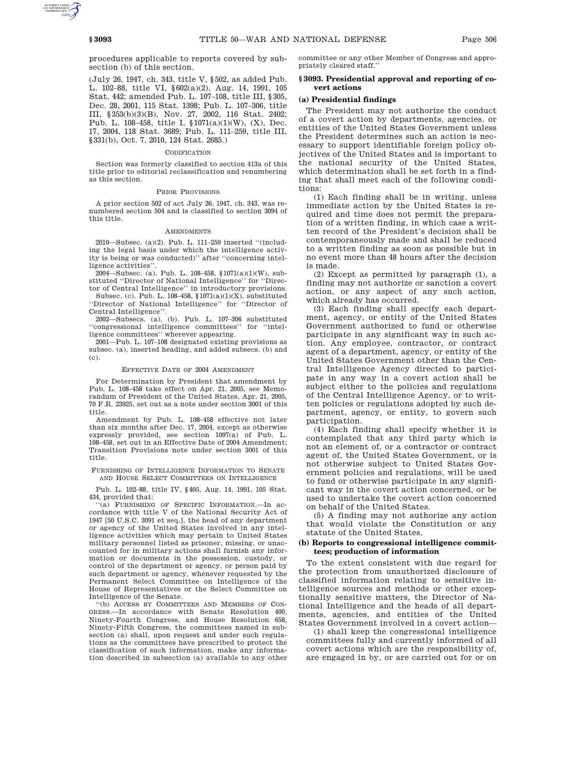procedures applicable to reports covered by subsection (b) of this section.

(July 26, 1947, ch. 343, title V, §502, as added Pub. L. 102–88, title VI, §602(a)(2), Aug. 14, 1991, 105 Stat. 442; amended Pub. L. 107–108, title III, §305, Dec. 28, 2001, 115 Stat. 1398; Pub. L. 107–306, title III, §353(b)(3)(B), Nov. 27, 2002, 116 Stat. 2402; Pub. L. 108–458, title I, §1071(a)(1)(W), (X), Dec. 17, 2004, 118 Stat. 3689; Pub. L. 111–259, title III, §331(b), Oct. 7, 2010, 124 Stat. 2685.)

### **CODIFICATION**

Section was formerly classified to section 413a of this title prior to editorial reclassification and renumbering as this section.

#### PRIOR PROVISIONS

A prior section 502 of act July 26, 1947, ch. 343, was renumbered section 504 and is classified to section 3094 of this title.

#### AMENDMENTS

2010—Subsec. (a)(2). Pub. L. 111–259 inserted ''(including the legal basis under which the intelligence activity is being or was conducted)'' after ''concerning intelligence activities''.

 $2004$ —Subsec. (a). Pub. L. 108–458, §1071(a)(1)(W), substituted ''Director of National Intelligence'' for ''Director of Central Intelligence'' in introductory provisions.

Subsec. (c). Pub. L. 108-458,  $$1071(a)(1)(X)$ , substituted ''Director of National Intelligence'' for ''Director of Central Intelligence''.

2002—Subsecs. (a), (b). Pub. L. 107–306 substituted ''congressional intelligence committees'' for ''intelligence committees'' wherever appearing.

2001—Pub. L. 107–108 designated existing provisions as subsec. (a), inserted heading, and added subsecs. (b) and (c).

#### EFFECTIVE DATE OF 2004 AMENDMENT

For Determination by President that amendment by Pub. L. 108–458 take effect on Apr. 21, 2005, see Memorandum of President of the United States, Apr. 21, 2005, 70 F.R. 23925, set out as a note under section 3001 of this title.

Amendment by Pub. L. 108–458 effective not later than six months after Dec. 17, 2004, except as otherwise expressly provided, see section 1097(a) of Pub. L. 108–458, set out in an Effective Date of 2004 Amendment; Transition Provisions note under section 3001 of this title.

FURNISHING OF INTELLIGENCE INFORMATION TO SENATE AND HOUSE SELECT COMMITTEES ON INTELLIGENCE

Pub. L. 102–88, title IV, §405, Aug. 14, 1991, 105 Stat. 434, provided that:

''(a) FURNISHING OF SPECIFIC INFORMATION.—In accordance with title V of the National Security Act of 1947 [50 U.S.C. 3091 et seq.], the head of any department or agency of the United States involved in any intelligence activities which may pertain to United States military personnel listed as prisoner, missing, or unaccounted for in military actions shall furnish any information or documents in the possession, custody, or control of the department or agency, or person paid by such department or agency, whenever requested by the Permanent Select Committee on Intelligence of the House of Representatives or the Select Committee on Intelligence of the Senate.

''(b) ACCESS BY COMMITTEES AND MEMBERS OF CON-GRESS.—In accordance with Senate Resolution 400, Ninety-Fourth Congress, and House Resolution 658, Ninety-Fifth Congress, the committees named in subsection (a) shall, upon request and under such regulations as the committees have prescribed to protect the classification of such information, make any information described in subsection (a) available to any other

committee or any other Member of Congress and appropriately cleared staff.''

### **§ 3093. Presidential approval and reporting of covert actions**

# **(a) Presidential findings**

The President may not authorize the conduct of a covert action by departments, agencies, or entities of the United States Government unless the President determines such an action is necessary to support identifiable foreign policy objectives of the United States and is important to the national security of the United States, which determination shall be set forth in a finding that shall meet each of the following conditions:

(1) Each finding shall be in writing, unless immediate action by the United States is required and time does not permit the preparation of a written finding, in which case a written record of the President's decision shall be contemporaneously made and shall be reduced to a written finding as soon as possible but in no event more than 48 hours after the decision is made.

(2) Except as permitted by paragraph (1), a finding may not authorize or sanction a covert action, or any aspect of any such action, which already has occurred.

(3) Each finding shall specify each department, agency, or entity of the United States Government authorized to fund or otherwise participate in any significant way in such action. Any employee, contractor, or contract agent of a department, agency, or entity of the United States Government other than the Central Intelligence Agency directed to participate in any way in a covert action shall be subject either to the policies and regulations of the Central Intelligence Agency, or to written policies or regulations adopted by such department, agency, or entity, to govern such participation.

(4) Each finding shall specify whether it is contemplated that any third party which is not an element of, or a contractor or contract agent of, the United States Government, or is not otherwise subject to United States Government policies and regulations, will be used to fund or otherwise participate in any significant way in the covert action concerned, or be used to undertake the covert action concerned on behalf of the United States.

(5) A finding may not authorize any action that would violate the Constitution or any statute of the United States.

## **(b) Reports to congressional intelligence committees; production of information**

To the extent consistent with due regard for the protection from unauthorized disclosure of classified information relating to sensitive intelligence sources and methods or other exceptionally sensitive matters, the Director of National Intelligence and the heads of all departments, agencies, and entities of the United States Government involved in a covert action—

(1) shall keep the congressional intelligence committees fully and currently informed of all covert actions which are the responsibility of, are engaged in by, or are carried out for or on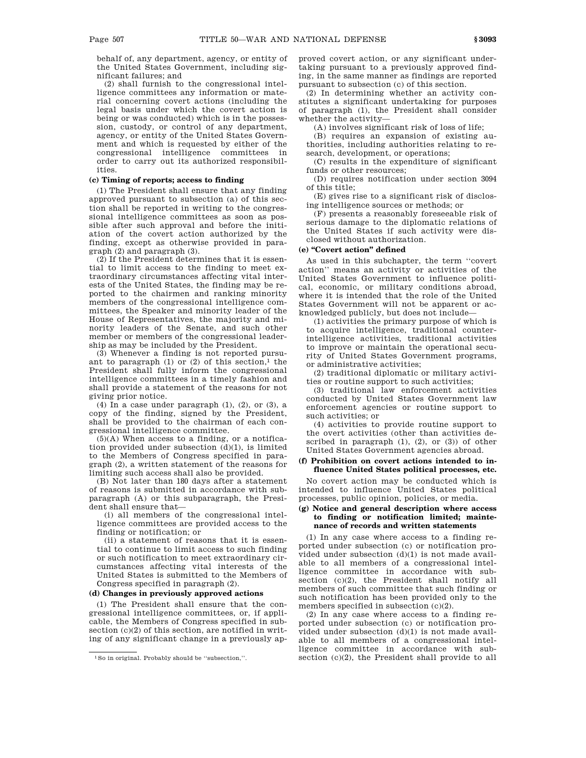behalf of, any department, agency, or entity of the United States Government, including significant failures; and

(2) shall furnish to the congressional intelligence committees any information or material concerning covert actions (including the legal basis under which the covert action is being or was conducted) which is in the possession, custody, or control of any department, agency, or entity of the United States Government and which is requested by either of the congressional intelligence committees in order to carry out its authorized responsibilities.

## **(c) Timing of reports; access to finding**

(1) The President shall ensure that any finding approved pursuant to subsection (a) of this section shall be reported in writing to the congressional intelligence committees as soon as possible after such approval and before the initiation of the covert action authorized by the finding, except as otherwise provided in paragraph (2) and paragraph (3).

(2) If the President determines that it is essential to limit access to the finding to meet extraordinary circumstances affecting vital interests of the United States, the finding may be reported to the chairmen and ranking minority members of the congressional intelligence committees, the Speaker and minority leader of the House of Representatives, the majority and minority leaders of the Senate, and such other member or members of the congressional leadership as may be included by the President.

(3) Whenever a finding is not reported pursuant to paragraph  $(1)$  or  $(2)$  of this section,<sup>1</sup> the President shall fully inform the congressional intelligence committees in a timely fashion and shall provide a statement of the reasons for not giving prior notice.

(4) In a case under paragraph  $(1)$ ,  $(2)$ , or  $(3)$ , a copy of the finding, signed by the President, shall be provided to the chairman of each congressional intelligence committee.

 $(5)(A)$  When access to a finding, or a notification provided under subsection  $(d)(1)$ , is limited to the Members of Congress specified in paragraph (2), a written statement of the reasons for limiting such access shall also be provided.

(B) Not later than 180 days after a statement of reasons is submitted in accordance with subparagraph (A) or this subparagraph, the President shall ensure that—

(i) all members of the congressional intelligence committees are provided access to the finding or notification; or

(ii) a statement of reasons that it is essential to continue to limit access to such finding or such notification to meet extraordinary circumstances affecting vital interests of the United States is submitted to the Members of Congress specified in paragraph (2).

# **(d) Changes in previously approved actions**

(1) The President shall ensure that the congressional intelligence committees, or, if applicable, the Members of Congress specified in subsection (c)(2) of this section, are notified in writing of any significant change in a previously approved covert action, or any significant undertaking pursuant to a previously approved finding, in the same manner as findings are reported pursuant to subsection (c) of this section.

(2) In determining whether an activity constitutes a significant undertaking for purposes of paragraph (1), the President shall consider whether the activity—

(A) involves significant risk of loss of life;

(B) requires an expansion of existing authorities, including authorities relating to research, development, or operations;

(C) results in the expenditure of significant funds or other resources;

(D) requires notification under section 3094 of this title;

(E) gives rise to a significant risk of disclosing intelligence sources or methods; or

(F) presents a reasonably foreseeable risk of serious damage to the diplomatic relations of the United States if such activity were disclosed without authorization.

### **(e) ''Covert action'' defined**

As used in this subchapter, the term ''covert action'' means an activity or activities of the United States Government to influence political, economic, or military conditions abroad, where it is intended that the role of the United States Government will not be apparent or acknowledged publicly, but does not include—

(1) activities the primary purpose of which is to acquire intelligence, traditional counterintelligence activities, traditional activities to improve or maintain the operational security of United States Government programs, or administrative activities;

(2) traditional diplomatic or military activities or routine support to such activities;

(3) traditional law enforcement activities conducted by United States Government law enforcement agencies or routine support to such activities; or

(4) activities to provide routine support to the overt activities (other than activities described in paragraph  $(1)$ ,  $(2)$ , or  $(3)$ ) of other United States Government agencies abroad.

# **(f) Prohibition on covert actions intended to influence United States political processes, etc.**

No covert action may be conducted which is intended to influence United States political processes, public opinion, policies, or media.

## **(g) Notice and general description where access to finding or notification limited; maintenance of records and written statements**

(1) In any case where access to a finding reported under subsection (c) or notification provided under subsection (d)(1) is not made available to all members of a congressional intelligence committee in accordance with subsection (c)(2), the President shall notify all members of such committee that such finding or such notification has been provided only to the members specified in subsection (c)(2).

(2) In any case where access to a finding reported under subsection (c) or notification provided under subsection (d)(1) is not made available to all members of a congressional intelligence committee in accordance with subsection (c)(2), the President shall provide to all

<sup>1</sup>So in original. Probably should be ''subsection,''.